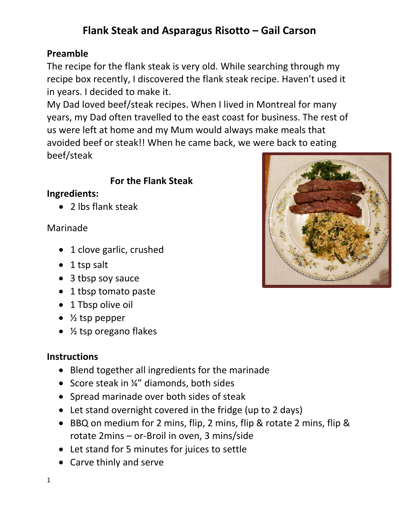# **Flank Steak and Asparagus Risotto – Gail Carson**

# **Preamble**

The recipe for the flank steak is very old. While searching through my recipe box recently, I discovered the flank steak recipe. Haven't used it in years. I decided to make it.

My Dad loved beef/steak recipes. When I lived in Montreal for many years, my Dad often travelled to the east coast for business. The rest of us were left at home and my Mum would always make meals that avoided beef or steak!! When he came back, we were back to eating beef/steak

## **For the Flank Steak**

### **Ingredients:**

• 2 lbs flank steak

### Marinade

- 1 clove garlic, crushed
- 1 tsp salt
- 3 tbsp soy sauce
- 1 tbsp tomato paste
- 1 Tbsp olive oil
- $\bullet\;$  % tsp pepper
- ½ tsp oregano flakes

### **Instructions**

- Blend together all ingredients for the marinade
- Score steak in ¼" diamonds, both sides
- Spread marinade over both sides of steak
- Let stand overnight covered in the fridge (up to 2 days)
- BBQ on medium for 2 mins, flip, 2 mins, flip & rotate 2 mins, flip & rotate 2mins – or-Broil in oven, 3 mins/side
- Let stand for 5 minutes for juices to settle
- Carve thinly and serve